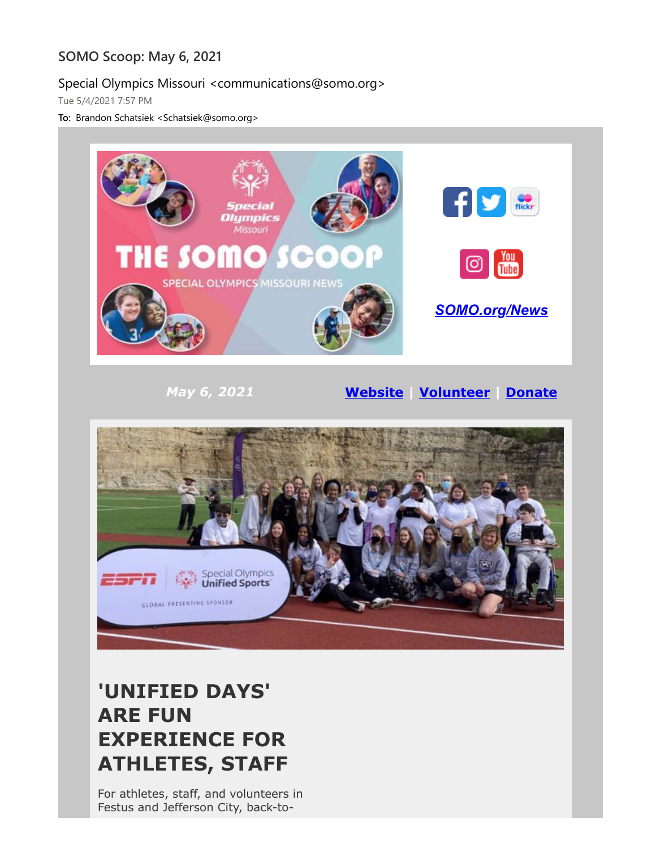### **SOMO Scoop: May 6, 2021**

#### Special Olympics Missouri <communications@somo.org>

Tue 5/4/2021 7:57 PM

**To:** Brandon Schatsiek <Schatsiek@somo.org>



### **'UNIFIED DAYS' ARE FUN EXPERIENCE FOR ATHLETES, STAFF**

For athletes, staff, and volunteers in Festus and Jefferson City, back-to-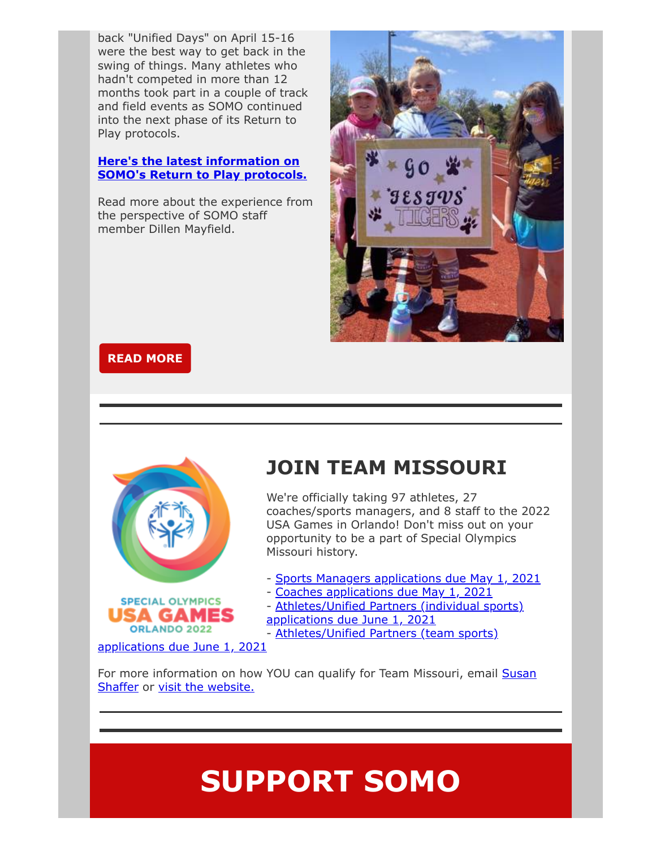back "Unified Days" on April 15-16 were the best way to get back in the swing of things. Many athletes who hadn't competed in more than 12 months took part in a couple of track and field events as SOMO continued into the next phase of its Return to Play protocols.

#### **Here's the latest information on [SOMO's Return to Play protocols.](https://eml-pusa01.app.blackbaud.net/intv2/j/2C85CB8F-1817-4642-89F5-80CDB5F7E2E2/r/2C85CB8F-1817-4642-89F5-80CDB5F7E2E2_0be30b17-73a3-4a9c-80bf-52220821a53e/l/EDD77B5B-E144-4E25-8665-61A940B6D31D/c)**

Read more about the experience from the perspective of SOMO staff member Dillen Mayfield.



#### **[READ MORE](https://eml-pusa01.app.blackbaud.net/intv2/j/2C85CB8F-1817-4642-89F5-80CDB5F7E2E2/r/2C85CB8F-1817-4642-89F5-80CDB5F7E2E2_0be30b17-73a3-4a9c-80bf-52220821a53e/l/97210660-7BD7-4BDF-AE2C-196D939A68CD/c)**



### **JOIN TEAM MISSOURI**

We're officially taking 97 athletes, 27 coaches/sports managers, and 8 staff to the 2022 USA Games in Orlando! Don't miss out on your opportunity to be a part of Special Olympics Missouri history.

- - [Sports Managers applications due May 1, 2021](https://eml-pusa01.app.blackbaud.net/intv2/j/2C85CB8F-1817-4642-89F5-80CDB5F7E2E2/r/2C85CB8F-1817-4642-89F5-80CDB5F7E2E2_0be30b17-73a3-4a9c-80bf-52220821a53e/l/8D6FCCDD-F09E-4CA6-ADD2-ED043E90F646/c)
- - [Coaches applications due May 1, 2021](https://eml-pusa01.app.blackbaud.net/intv2/j/2C85CB8F-1817-4642-89F5-80CDB5F7E2E2/r/2C85CB8F-1817-4642-89F5-80CDB5F7E2E2_0be30b17-73a3-4a9c-80bf-52220821a53e/l/22D1B018-0A4D-48C8-A76C-0FDCDC892FCB/c)
- [Athletes/Unified Partners \(individual sports\)](https://eml-pusa01.app.blackbaud.net/intv2/j/2C85CB8F-1817-4642-89F5-80CDB5F7E2E2/r/2C85CB8F-1817-4642-89F5-80CDB5F7E2E2_0be30b17-73a3-4a9c-80bf-52220821a53e/l/E084E856-D8C6-4291-A34A-E61771882787/c)
- applications due June 1, 2021
- [Athletes/Unified Partners \(team sports\)](https://eml-pusa01.app.blackbaud.net/intv2/j/2C85CB8F-1817-4642-89F5-80CDB5F7E2E2/r/2C85CB8F-1817-4642-89F5-80CDB5F7E2E2_0be30b17-73a3-4a9c-80bf-52220821a53e/l/14E5733D-EA97-48E0-B680-23F371377F15/c)

applications due June 1, 2021

[For more information on how YOU can qualify for Team Missouri, email Susan](mailto:shaffer@somo.org?subject=Need%20info%20on%20Team%20Missouri) Shaffer or [visit the website.](https://eml-pusa01.app.blackbaud.net/intv2/j/2C85CB8F-1817-4642-89F5-80CDB5F7E2E2/r/2C85CB8F-1817-4642-89F5-80CDB5F7E2E2_0be30b17-73a3-4a9c-80bf-52220821a53e/l/CA95C147-F6EE-45E2-A802-DD4266D0D093/c)

# **SUPPORT SOMO**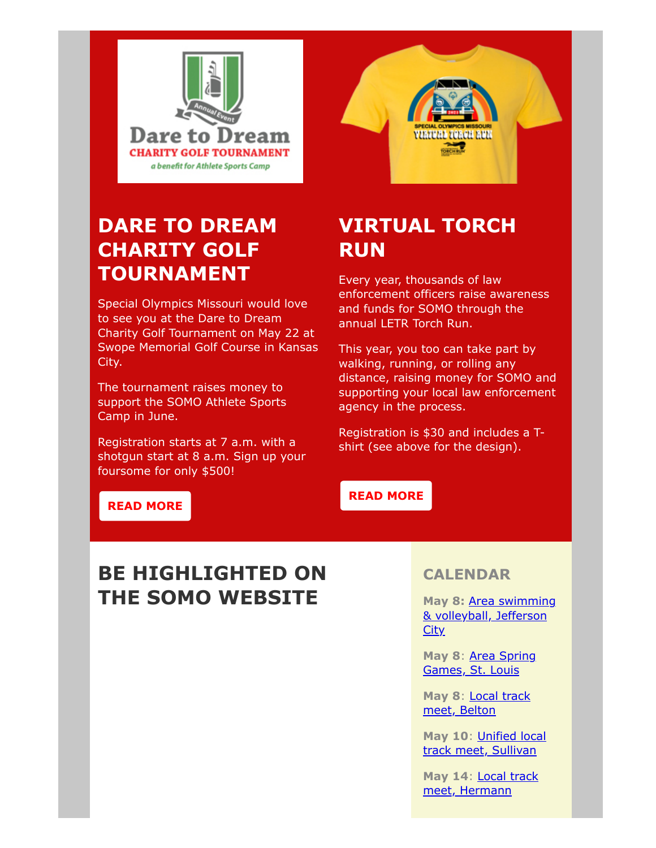



### **DARE TO DREAM CHARITY GOLF TOURNAMENT**

Special Olympics Missouri would love to see you at the Dare to Dream Charity Golf Tournament on May 22 at Swope Memorial Golf Course in Kansas City.

The tournament raises money to support the SOMO Athlete Sports Camp in June.

Registration starts at 7 a.m. with a shotgun start at 8 a.m. Sign up your foursome for only \$500!

### **VIRTUAL TORCH RUN**

Every year, thousands of law enforcement officers raise awareness and funds for SOMO through the annual LETR Torch Run.

This year, you too can take part by walking, running, or rolling any distance, raising money for SOMO and supporting your local law enforcement agency in the process.

Registration is \$30 and includes a Tshirt (see above for the design).

#### **[READ MORE](https://eml-pusa01.app.blackbaud.net/intv2/j/2C85CB8F-1817-4642-89F5-80CDB5F7E2E2/r/2C85CB8F-1817-4642-89F5-80CDB5F7E2E2_0be30b17-73a3-4a9c-80bf-52220821a53e/l/BCEBEAE4-1417-4DAE-99CE-04E343F28FDA/c)**

### **[READ MORE](https://eml-pusa01.app.blackbaud.net/intv2/j/2C85CB8F-1817-4642-89F5-80CDB5F7E2E2/r/2C85CB8F-1817-4642-89F5-80CDB5F7E2E2_0be30b17-73a3-4a9c-80bf-52220821a53e/l/53A17F40-550F-453D-A2A6-315F34DA115D/c)**

### **BE HIGHLIGHTED ON THE SOMO WEBSITE**

#### **CALENDAR**

**May 8:** Area swimming [& volleyball, Jefferson](https://eml-pusa01.app.blackbaud.net/intv2/j/2C85CB8F-1817-4642-89F5-80CDB5F7E2E2/r/2C85CB8F-1817-4642-89F5-80CDB5F7E2E2_0be30b17-73a3-4a9c-80bf-52220821a53e/l/AA549E27-312B-4D35-93A0-A576F9A50A13/c) **City** 

**May 8**: Area Spring [Games, St. Louis](https://eml-pusa01.app.blackbaud.net/intv2/j/2C85CB8F-1817-4642-89F5-80CDB5F7E2E2/r/2C85CB8F-1817-4642-89F5-80CDB5F7E2E2_0be30b17-73a3-4a9c-80bf-52220821a53e/l/7028B3CB-DC32-4216-9882-1B5F2225BAAF/c)

**May 8**: Local track [meet, Belton](https://eml-pusa01.app.blackbaud.net/intv2/j/2C85CB8F-1817-4642-89F5-80CDB5F7E2E2/r/2C85CB8F-1817-4642-89F5-80CDB5F7E2E2_0be30b17-73a3-4a9c-80bf-52220821a53e/l/823E6C92-70F4-4B13-B376-4160130FC865/c)

**May 10**: Unified local [track meet, Sullivan](https://eml-pusa01.app.blackbaud.net/intv2/j/2C85CB8F-1817-4642-89F5-80CDB5F7E2E2/r/2C85CB8F-1817-4642-89F5-80CDB5F7E2E2_0be30b17-73a3-4a9c-80bf-52220821a53e/l/BCAFE7E5-6CBE-4563-8DC3-14102C6DAA84/c)

**May 14**: Local track [meet, Hermann](https://eml-pusa01.app.blackbaud.net/intv2/j/2C85CB8F-1817-4642-89F5-80CDB5F7E2E2/r/2C85CB8F-1817-4642-89F5-80CDB5F7E2E2_0be30b17-73a3-4a9c-80bf-52220821a53e/l/A23FEC0E-2C3D-45CA-81A5-7C9C7AFF60C1/c)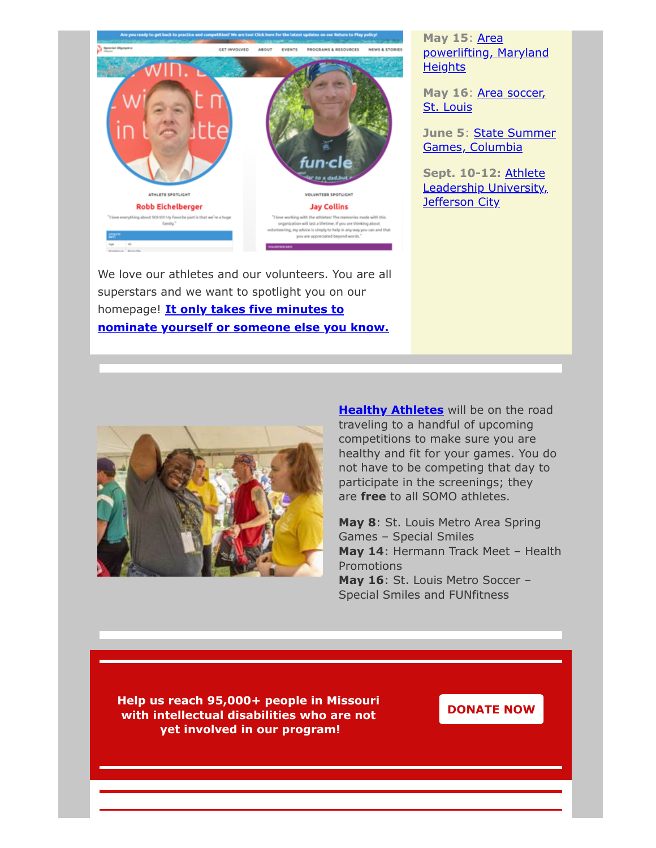

We love our athletes and our volunteers. You are all superstars and we want to spotlight you on our homepage! **It only takes five minutes to [nominate yourself or someone else you know.](https://eml-pusa01.app.blackbaud.net/intv2/j/2C85CB8F-1817-4642-89F5-80CDB5F7E2E2/r/2C85CB8F-1817-4642-89F5-80CDB5F7E2E2_0be30b17-73a3-4a9c-80bf-52220821a53e/l/014A8936-80EA-4FF3-BC85-B93E1374CEB4/c)**

#### **May 15**: Area [powerlifting, Maryland](https://eml-pusa01.app.blackbaud.net/intv2/j/2C85CB8F-1817-4642-89F5-80CDB5F7E2E2/r/2C85CB8F-1817-4642-89F5-80CDB5F7E2E2_0be30b17-73a3-4a9c-80bf-52220821a53e/l/7FC764F1-8888-4E0F-8ACC-A36656CCC876/c) **Heights**

May 16[: Area soccer,](https://eml-pusa01.app.blackbaud.net/intv2/j/2C85CB8F-1817-4642-89F5-80CDB5F7E2E2/r/2C85CB8F-1817-4642-89F5-80CDB5F7E2E2_0be30b17-73a3-4a9c-80bf-52220821a53e/l/41CF626B-5C5D-4997-BE83-C42578121BE4/c) St. Louis

**June 5**: State Summer [Games, Columbia](https://eml-pusa01.app.blackbaud.net/intv2/j/2C85CB8F-1817-4642-89F5-80CDB5F7E2E2/r/2C85CB8F-1817-4642-89F5-80CDB5F7E2E2_0be30b17-73a3-4a9c-80bf-52220821a53e/l/0BB1F57E-4BE0-4134-8251-A57C2E7AA724/c)

**Sept. 10-12:** Athlete [Leadership University,](https://eml-pusa01.app.blackbaud.net/intv2/j/2C85CB8F-1817-4642-89F5-80CDB5F7E2E2/r/2C85CB8F-1817-4642-89F5-80CDB5F7E2E2_0be30b17-73a3-4a9c-80bf-52220821a53e/l/599B49A0-AB04-4418-BDA2-939AAA18065C/c) **Jefferson City** 



**[Healthy Athletes](https://eml-pusa01.app.blackbaud.net/intv2/j/2C85CB8F-1817-4642-89F5-80CDB5F7E2E2/r/2C85CB8F-1817-4642-89F5-80CDB5F7E2E2_0be30b17-73a3-4a9c-80bf-52220821a53e/l/17D59BBE-9064-4709-BF06-6951D85ADE7E/c)** will be on the road traveling to a handful of upcoming competitions to make sure you are healthy and fit for your games. You do not have to be competing that day to participate in the screenings; they are **free** to all SOMO athletes.

**May 8**: St. Louis Metro Area Spring Games – Special Smiles **May 14**: Hermann Track Meet – Health Promotions **May 16**: St. Louis Metro Soccer – Special Smiles and FUNfitness

**Help us reach 95,000+ people in Missouri with intellectual disabilities who are not yet involved in our program!**

**[DONATE NOW](https://eml-pusa01.app.blackbaud.net/intv2/j/2C85CB8F-1817-4642-89F5-80CDB5F7E2E2/r/2C85CB8F-1817-4642-89F5-80CDB5F7E2E2_0be30b17-73a3-4a9c-80bf-52220821a53e/l/8FFB65BC-B373-455D-82A3-E5EEFC584663/c)**